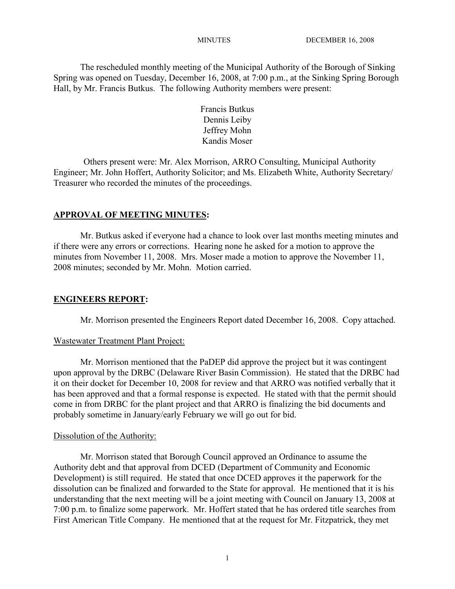The rescheduled monthly meeting of the Municipal Authority of the Borough of Sinking Spring was opened on Tuesday, December 16, 2008, at 7:00 p.m., at the Sinking Spring Borough Hall, by Mr. Francis Butkus. The following Authority members were present:

> Francis Butkus Dennis Leiby Jeffrey Mohn Kandis Moser

Others present were: Mr. Alex Morrison, ARRO Consulting, Municipal Authority Engineer; Mr. John Hoffert, Authority Solicitor; and Ms. Elizabeth White, Authority Secretary/ Treasurer who recorded the minutes of the proceedings.

# **APPROVAL OF MEETING MINUTES:**

Mr. Butkus asked if everyone had a chance to look over last months meeting minutes and if there were any errors or corrections. Hearing none he asked for a motion to approve the minutes from November 11, 2008. Mrs. Moser made a motion to approve the November 11, 2008 minutes; seconded by Mr. Mohn. Motion carried.

# **ENGINEERS REPORT:**

Mr. Morrison presented the Engineers Report dated December 16, 2008. Copy attached.

## Wastewater Treatment Plant Project:

Mr. Morrison mentioned that the PaDEP did approve the project but it was contingent upon approval by the DRBC (Delaware River Basin Commission). He stated that the DRBC had it on their docket for December 10, 2008 for review and that ARRO was notified verbally that it has been approved and that a formal response is expected. He stated with that the permit should come in from DRBC for the plant project and that ARRO is finalizing the bid documents and probably sometime in January/early February we will go out for bid.

## Dissolution of the Authority:

Mr. Morrison stated that Borough Council approved an Ordinance to assume the Authority debt and that approval from DCED (Department of Community and Economic Development) is still required. He stated that once DCED approves it the paperwork for the dissolution can be finalized and forwarded to the State for approval. He mentioned that it is his understanding that the next meeting will be a joint meeting with Council on January 13, 2008 at 7:00 p.m. to finalize some paperwork. Mr. Hoffert stated that he has ordered title searches from First American Title Company. He mentioned that at the request for Mr. Fitzpatrick, they met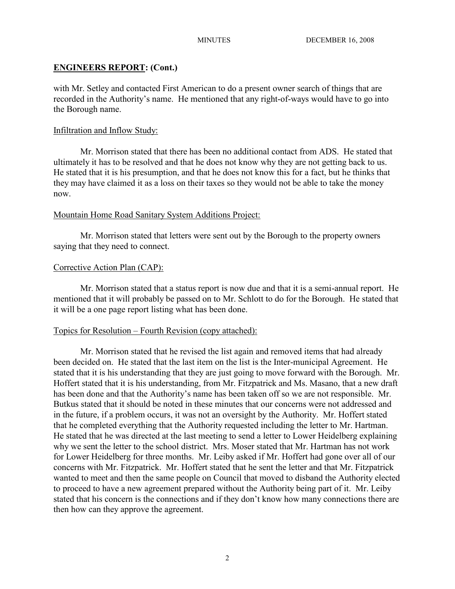## **ENGINEERS REPORT: (Cont.)**

with Mr. Setley and contacted First American to do a present owner search of things that are recorded in the Authority's name. He mentioned that any right-of-ways would have to go into the Borough name.

### Infiltration and Inflow Study:

Mr. Morrison stated that there has been no additional contact from ADS. He stated that ultimately it has to be resolved and that he does not know why they are not getting back to us. He stated that it is his presumption, and that he does not know this for a fact, but he thinks that they may have claimed it as a loss on their taxes so they would not be able to take the money now.

#### Mountain Home Road Sanitary System Additions Project:

Mr. Morrison stated that letters were sent out by the Borough to the property owners saying that they need to connect.

#### Corrective Action Plan (CAP):

Mr. Morrison stated that a status report is now due and that it is a semi-annual report. He mentioned that it will probably be passed on to Mr. Schlott to do for the Borough. He stated that it will be a one page report listing what has been done.

#### Topics for Resolution – Fourth Revision (copy attached):

Mr. Morrison stated that he revised the list again and removed items that had already been decided on. He stated that the last item on the list is the Inter-municipal Agreement. He stated that it is his understanding that they are just going to move forward with the Borough. Mr. Hoffert stated that it is his understanding, from Mr. Fitzpatrick and Ms. Masano, that a new draft has been done and that the Authority's name has been taken off so we are not responsible. Mr. Butkus stated that it should be noted in these minutes that our concerns were not addressed and in the future, if a problem occurs, it was not an oversight by the Authority. Mr. Hoffert stated that he completed everything that the Authority requested including the letter to Mr. Hartman. He stated that he was directed at the last meeting to send a letter to Lower Heidelberg explaining why we sent the letter to the school district. Mrs. Moser stated that Mr. Hartman has not work for Lower Heidelberg for three months. Mr. Leiby asked if Mr. Hoffert had gone over all of our concerns with Mr. Fitzpatrick. Mr. Hoffert stated that he sent the letter and that Mr. Fitzpatrick wanted to meet and then the same people on Council that moved to disband the Authority elected to proceed to have a new agreement prepared without the Authority being part of it. Mr. Leiby stated that his concern is the connections and if they don't know how many connections there are then how can they approve the agreement.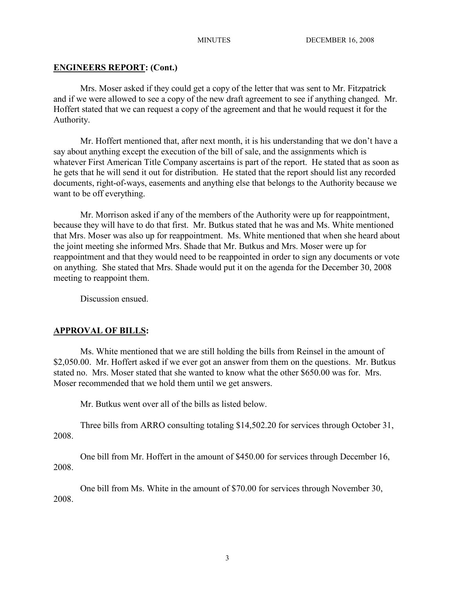# **ENGINEERS REPORT: (Cont.)**

Mrs. Moser asked if they could get a copy of the letter that was sent to Mr. Fitzpatrick and if we were allowed to see a copy of the new draft agreement to see if anything changed. Mr. Hoffert stated that we can request a copy of the agreement and that he would request it for the Authority.

Mr. Hoffert mentioned that, after next month, it is his understanding that we don't have a say about anything except the execution of the bill of sale, and the assignments which is whatever First American Title Company ascertains is part of the report. He stated that as soon as he gets that he will send it out for distribution. He stated that the report should list any recorded documents, right-of-ways, easements and anything else that belongs to the Authority because we want to be off everything.

Mr. Morrison asked if any of the members of the Authority were up for reappointment, because they will have to do that first. Mr. Butkus stated that he was and Ms. White mentioned that Mrs. Moser was also up for reappointment. Ms. White mentioned that when she heard about the joint meeting she informed Mrs. Shade that Mr. Butkus and Mrs. Moser were up for reappointment and that they would need to be reappointed in order to sign any documents or vote on anything. She stated that Mrs. Shade would put it on the agenda for the December 30, 2008 meeting to reappoint them.

Discussion ensued.

# **APPROVAL OF BILLS:**

Ms. White mentioned that we are still holding the bills from Reinsel in the amount of \$2,050.00. Mr. Hoffert asked if we ever got an answer from them on the questions. Mr. Butkus stated no. Mrs. Moser stated that she wanted to know what the other \$650.00 was for. Mrs. Moser recommended that we hold them until we get answers.

Mr. Butkus went over all of the bills as listed below.

Three bills from ARRO consulting totaling \$14,502.20 for services through October 31, 2008.

One bill from Mr. Hoffert in the amount of \$450.00 for services through December 16, 2008.

One bill from Ms. White in the amount of \$70.00 for services through November 30, 2008.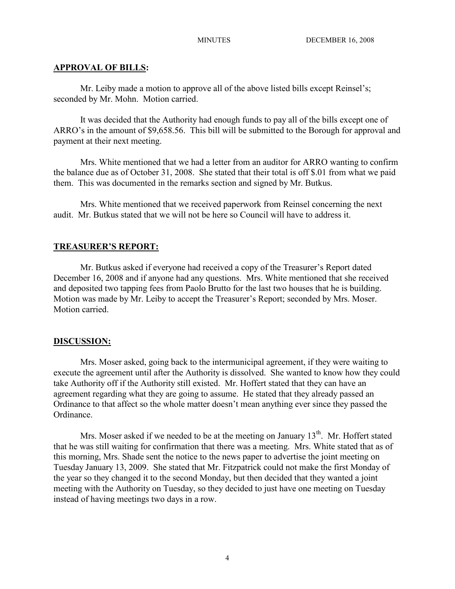## **APPROVAL OF BILLS:**

Mr. Leiby made a motion to approve all of the above listed bills except Reinsel's; seconded by Mr. Mohn. Motion carried.

It was decided that the Authority had enough funds to pay all of the bills except one of ARRO's in the amount of \$9,658.56. This bill will be submitted to the Borough for approval and payment at their next meeting.

Mrs. White mentioned that we had a letter from an auditor for ARRO wanting to confirm the balance due as of October 31, 2008. She stated that their total is off \$.01 from what we paid them. This was documented in the remarks section and signed by Mr. Butkus.

Mrs. White mentioned that we received paperwork from Reinsel concerning the next audit. Mr. Butkus stated that we will not be here so Council will have to address it.

## **TREASURER'S REPORT:**

Mr. Butkus asked if everyone had received a copy of the Treasurer's Report dated December 16, 2008 and if anyone had any questions. Mrs. White mentioned that she received and deposited two tapping fees from Paolo Brutto for the last two houses that he is building. Motion was made by Mr. Leiby to accept the Treasurer's Report; seconded by Mrs. Moser. Motion carried.

### **DISCUSSION:**

Mrs. Moser asked, going back to the intermunicipal agreement, if they were waiting to execute the agreement until after the Authority is dissolved. She wanted to know how they could take Authority off if the Authority still existed. Mr. Hoffert stated that they can have an agreement regarding what they are going to assume. He stated that they already passed an Ordinance to that affect so the whole matter doesn't mean anything ever since they passed the Ordinance.

Mrs. Moser asked if we needed to be at the meeting on January  $13<sup>th</sup>$ . Mr. Hoffert stated that he was still waiting for confirmation that there was a meeting. Mrs. White stated that as of this morning, Mrs. Shade sent the notice to the news paper to advertise the joint meeting on Tuesday January 13, 2009. She stated that Mr. Fitzpatrick could not make the first Monday of the year so they changed it to the second Monday, but then decided that they wanted a joint meeting with the Authority on Tuesday, so they decided to just have one meeting on Tuesday instead of having meetings two days in a row.